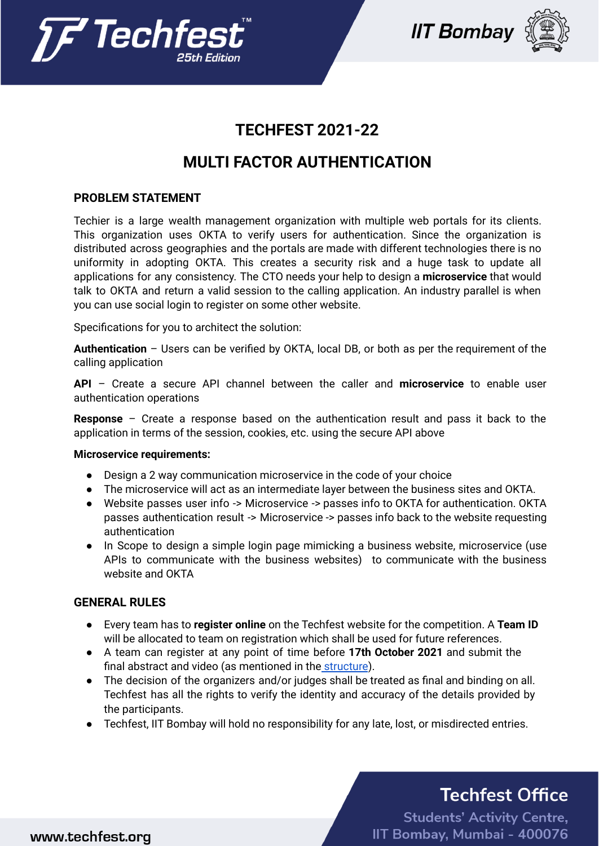





## **TECHFEST 2021-22**

## **MULTI FACTOR AUTHENTICATION**

#### **PROBLEM STATEMENT**

Techier is a large wealth management organization with multiple web portals for its clients. This organization uses OKTA to verify users for authentication. Since the organization is distributed across geographies and the portals are made with different technologies there is no uniformity in adopting OKTA. This creates a security risk and a huge task to update all applications for any consistency. The CTO needs your help to design a **microservice** that would talk to OKTA and return a valid session to the calling application. An industry parallel is when you can use social login to register on some other website.

Specifications for you to architect the solution:

**Authentication** – Users can be verified by OKTA, local DB, or both as per the requirement of the calling application

**API** – Create a secure API channel between the caller and **microservice** to enable user authentication operations

**Response** – Create a response based on the authentication result and pass it back to the application in terms of the session, cookies, etc. using the secure API above

#### **Microservice requirements:**

- Design a 2 way communication microservice in the code of your choice
- The microservice will act as an intermediate layer between the business sites and OKTA.
- Website passes user info -> Microservice -> passes info to OKTA for authentication. OKTA passes authentication result -> Microservice -> passes info back to the website requesting authentication
- In Scope to design a simple login page mimicking a business website, microservice (use APIs to communicate with the business websites) to communicate with the business website and OKTA

#### **GENERAL RULES**

- Every team has to **register online** on the Techfest website for the competition. A **Team ID** will be allocated to team on registration which shall be used for future references.
- A team can register at any point of time before **17th October 2021** and submit the final abstract and video (as mentioned in the structure).
- The decision of the organizers and/or judges shall be treated as final and binding on all. Techfest has all the rights to verify the identity and accuracy of the details provided by the participants.
- Techfest, IIT Bombay will hold no responsibility for any late, lost, or misdirected entries.

# **Techfest Office**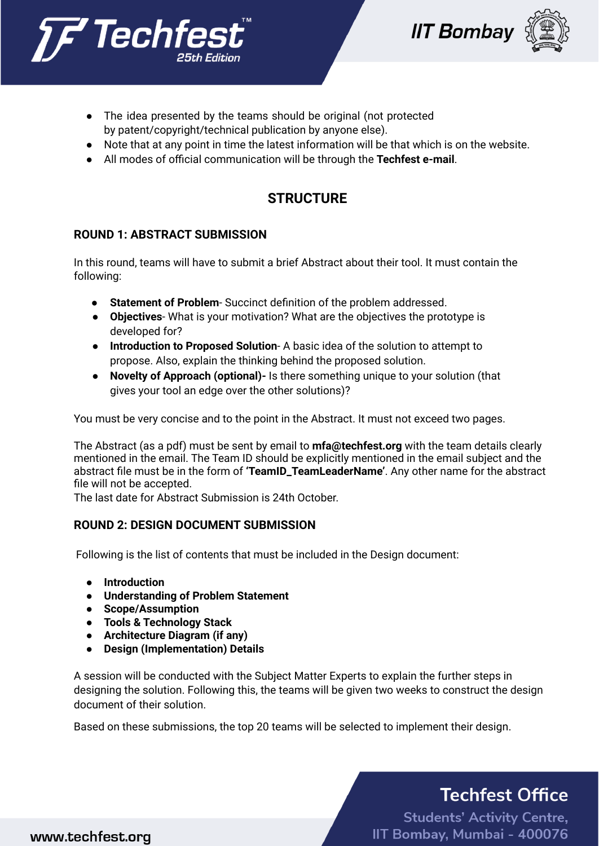





- The idea presented by the teams should be original (not protected by patent/copyright/technical publication by anyone else).
- Note that at any point in time the latest information will be that which is on the website.
- All modes of official communication will be through the **Techfest e-mail**.

## **STRUCTURE**

#### **ROUND 1: ABSTRACT SUBMISSION**

In this round, teams will have to submit a brief Abstract about their tool. It must contain the following:

- **Statement of Problem** Succinct definition of the problem addressed.
- **Objectives** What is your motivation? What are the objectives the prototype is developed for?
- **Introduction to Proposed Solution** A basic idea of the solution to attempt to propose. Also, explain the thinking behind the proposed solution.
- **Novelty of Approach (optional)-** Is there something unique to your solution (that gives your tool an edge over the other solutions)?

You must be very concise and to the point in the Abstract. It must not exceed two pages.

The Abstract (as a pdf) must be sent by email to **[mfa@techfest.org](mailto:mfa@techfest.org)** with the team details clearly mentioned in the email. The Team ID should be explicitly mentioned in the email subject and the abstract file must be in the form of **'TeamID\_TeamLeaderName'**. Any other name for the abstract file will not be accepted.

The last date for Abstract Submission is 24th October.

#### **ROUND 2: DESIGN DOCUMENT SUBMISSION**

Following is the list of contents that must be included in the Design document:

- **● Introduction**
- **● Understanding of Problem Statement**
- **● Scope/Assumption**
- **● Tools & Technology Stack**
- **● Architecture Diagram (if any)**
- **● Design (Implementation) Details**

A session will be conducted with the Subject Matter Experts to explain the further steps in designing the solution. Following this, the teams will be given two weeks to construct the design document of their solution.

Based on these submissions, the top 20 teams will be selected to implement their design.

# **Techfest Office**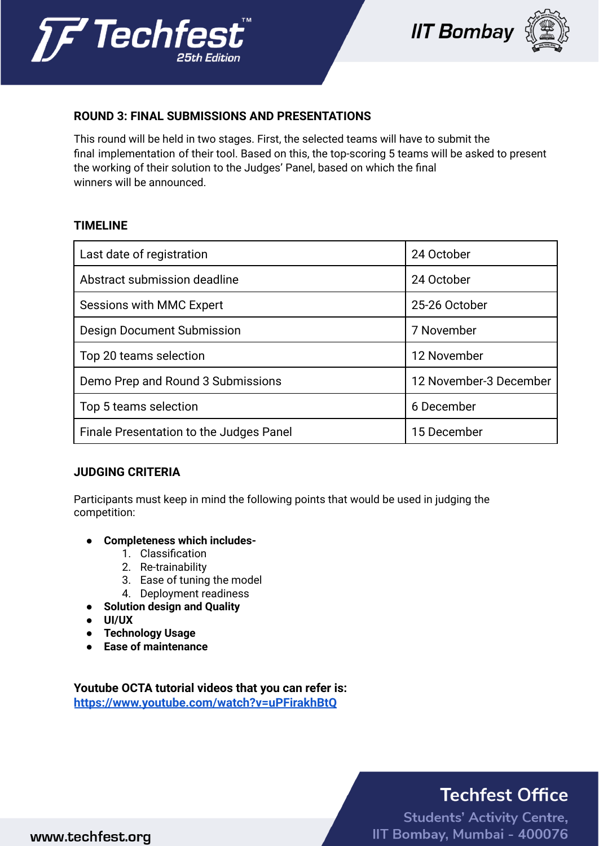





#### **ROUND 3: FINAL SUBMISSIONS AND PRESENTATIONS**

This round will be held in two stages. First, the selected teams will have to submit the final implementation of their tool. Based on this, the top-scoring 5 teams will be asked to present the working of their solution to the Judges' Panel, based on which the final winners will be announced.

#### **TIMELINE**

| Last date of registration               | 24 October             |
|-----------------------------------------|------------------------|
| Abstract submission deadline            | 24 October             |
| Sessions with MMC Expert                | 25-26 October          |
| Design Document Submission              | 7 November             |
| Top 20 teams selection                  | 12 November            |
| Demo Prep and Round 3 Submissions       | 12 November-3 December |
| Top 5 teams selection                   | 6 December             |
| Finale Presentation to the Judges Panel | 15 December            |

#### **JUDGING CRITERIA**

Participants must keep in mind the following points that would be used in judging the competition:

- **● Completeness which includes-**
	- 1. Classification
	- 2. Re-trainability
	- 3. Ease of tuning the model
	- 4. Deployment readiness
- **● Solution design and Quality**
- **● UI/UX**
- **● Technology Usage**
- **● Ease of maintenance**

**Youtube OCTA tutorial videos that you can refer is: <https://www.youtube.com/watch?v=uPFirakhBtQ>**

# **Techfest Office**